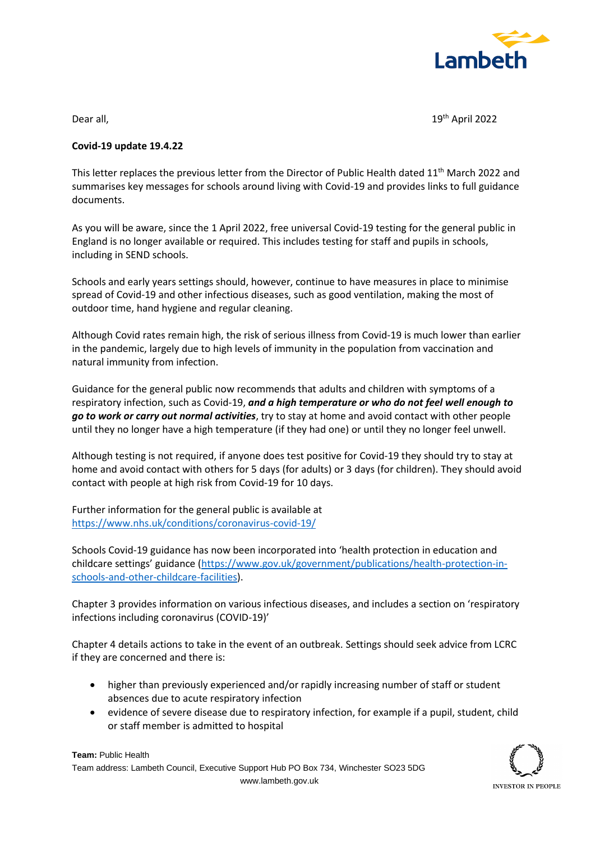

Dear all, 19th April 2022

## **Covid-19 update 19.4.22**

This letter replaces the previous letter from the Director of Public Health dated 11<sup>th</sup> March 2022 and summarises key messages for schools around living with Covid-19 and provides links to full guidance documents.

As you will be aware, since the 1 April 2022, free universal Covid-19 testing for the general public in England is no longer available or required. This includes testing for staff and pupils in schools, including in SEND schools.

Schools and early years settings should, however, continue to have measures in place to minimise spread of Covid-19 and other infectious diseases, such as good ventilation, making the most of outdoor time, hand hygiene and regular cleaning.

Although Covid rates remain high, the risk of serious illness from Covid-19 is much lower than earlier in the pandemic, largely due to high levels of immunity in the population from vaccination and natural immunity from infection.

Guidance for the general public now recommends that adults and children with symptoms of a respiratory infection, such as Covid-19, *and a high temperature or who do not feel well enough to go to work or carry out normal activities*, try to stay at home and avoid contact with other people until they no longer have a high temperature (if they had one) or until they no longer feel unwell.

Although testing is not required, if anyone does test positive for Covid-19 they should try to stay at home and avoid contact with others for 5 days (for adults) or 3 days (for children). They should avoid contact with people at high risk from Covid-19 for 10 days.

Further information for the general public is available at <https://www.nhs.uk/conditions/coronavirus-covid-19/>

Schools Covid-19 guidance has now been incorporated into 'health protection in education and childcare settings' guidance ([https://www.gov.uk/government/publications/health-protection-in](https://www.gov.uk/government/publications/health-protection-in-schools-and-other-childcare-facilities)[schools-and-other-childcare-facilities\)](https://www.gov.uk/government/publications/health-protection-in-schools-and-other-childcare-facilities).

Chapter 3 provides information on various infectious diseases, and includes a section on 'respiratory infections including coronavirus (COVID-19)'

Chapter 4 details actions to take in the event of an outbreak. Settings should seek advice from LCRC if they are concerned and there is:

- higher than previously experienced and/or rapidly increasing number of staff or student absences due to acute respiratory infection
- evidence of severe disease due to respiratory infection, for example if a pupil, student, child or staff member is admitted to hospital

**Team:** Public Health Team address: Lambeth Council, Executive Support Hub PO Box 734, Winchester SO23 5DG www.lambeth.gov.uk

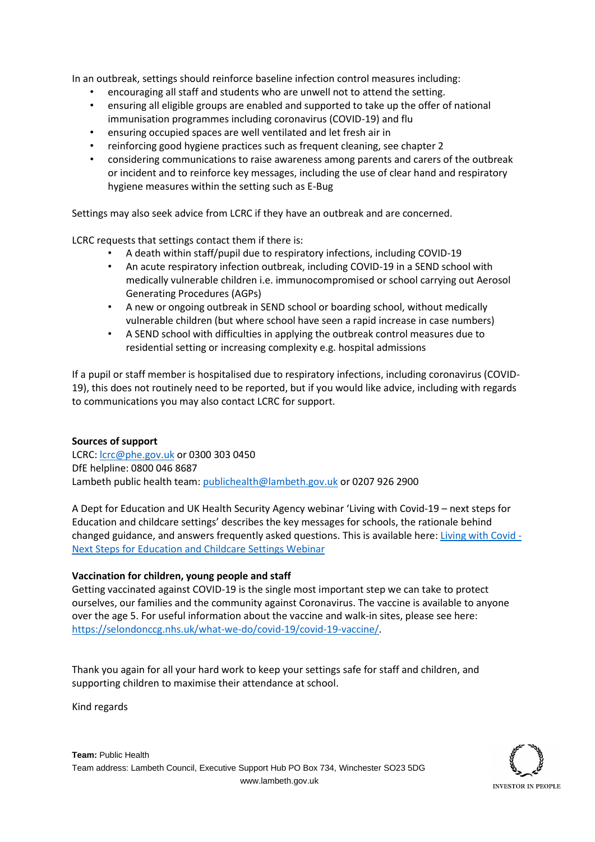In an outbreak, settings should reinforce baseline infection control measures including:

- encouraging all staff and students who are unwell not to attend the setting.
- ensuring all eligible groups are enabled and supported to take up the offer of national immunisation programmes including coronavirus (COVID-19) and flu
- ensuring occupied spaces are well ventilated and let fresh air in
- reinforcing good hygiene practices such as frequent cleaning, see chapter 2
- considering communications to raise awareness among parents and carers of the outbreak or incident and to reinforce key messages, including the use of clear hand and respiratory hygiene measures within the setting such as E-Bug

Settings may also seek advice from LCRC if they have an outbreak and are concerned.

LCRC requests that settings contact them if there is:

- A death within staff/pupil due to respiratory infections, including COVID-19
- An acute respiratory infection outbreak, including COVID-19 in a SEND school with medically vulnerable children i.e. immunocompromised or school carrying out Aerosol Generating Procedures (AGPs)
- A new or ongoing outbreak in SEND school or boarding school, without medically vulnerable children (but where school have seen a rapid increase in case numbers)
- A SEND school with difficulties in applying the outbreak control measures due to residential setting or increasing complexity e.g. hospital admissions

If a pupil or staff member is hospitalised due to respiratory infections, including coronavirus (COVID-19), this does not routinely need to be reported, but if you would like advice, including with regards to communications you may also contact LCRC for support.

## **Sources of support**

LCRC: [lcrc@phe.gov.uk](mailto:lcrc@phe.gov.uk) or 0300 303 0450 DfE helpline: 0800 046 8687 Lambeth public health team: [publichealth@lambeth.gov.uk](mailto:publichealth@lambeth.gov.uk) or 0207 926 2900

A Dept for Education and UK Health Security Agency webinar 'Living with Covid-19 – next steps for Education and childcare settings' describes the key messages for schools, the rationale behind changed guidance, and answers frequently asked questions. This is available here: [Living with Covid -](https://www.youtube.com/watch?v=c7WKDcUd71g) [Next Steps for Education and Childcare Settings Webinar](https://www.youtube.com/watch?v=c7WKDcUd71g)

## **Vaccination for children, young people and staff**

Getting vaccinated against COVID-19 is the single most important step we can take to protect ourselves, our families and the community against Coronavirus. The vaccine is available to anyone over the age 5. For useful information about the vaccine and walk-in sites, please see here: [https://selondonccg.nhs.uk/what-we-do/covid-19/covid-19-vaccine/.](https://selondonccg.nhs.uk/what-we-do/covid-19/covid-19-vaccine/)

Thank you again for all your hard work to keep your settings safe for staff and children, and supporting children to maximise their attendance at school.

Kind regards